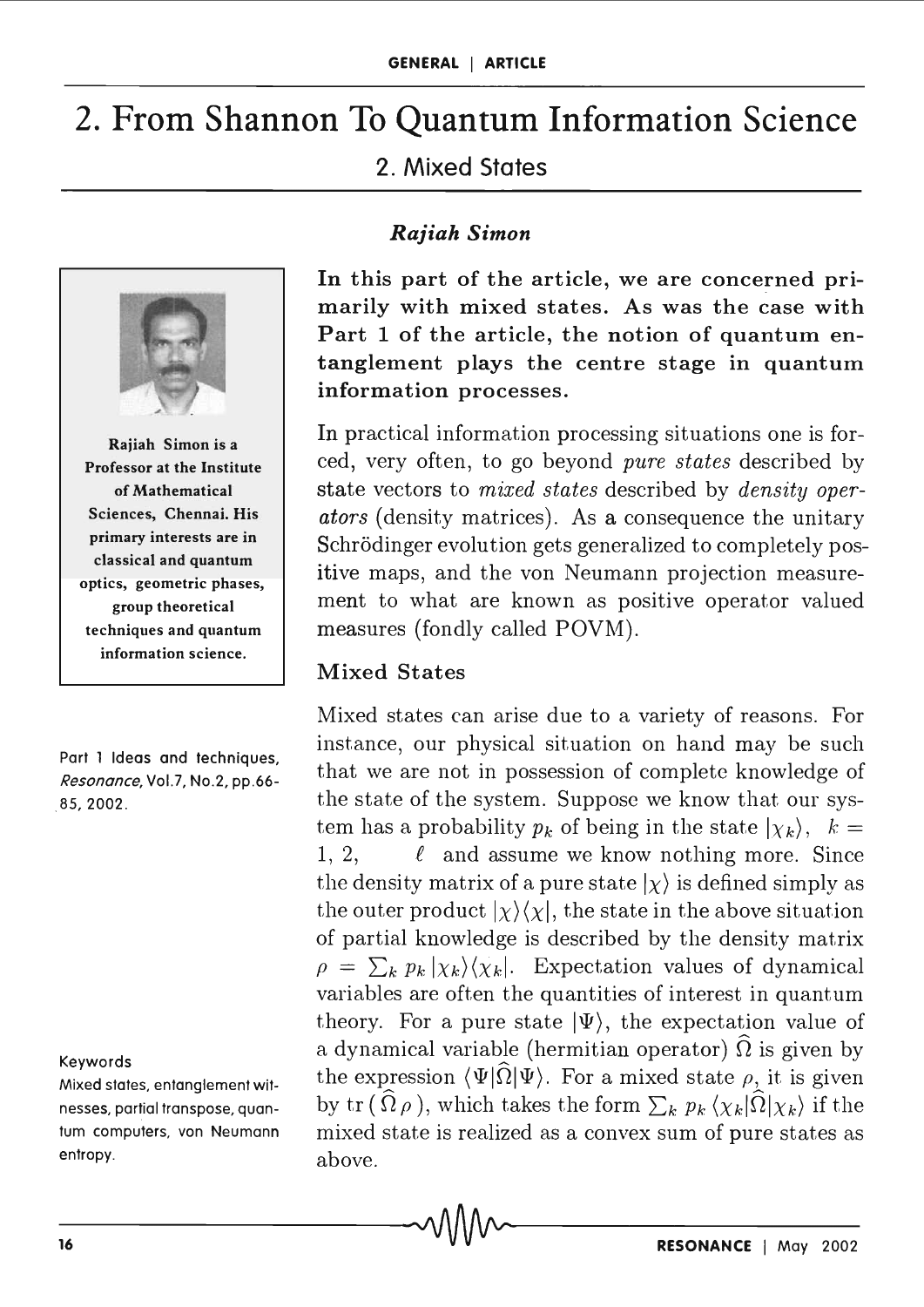# 2. From Shannon To Quantum Information Science

# 2. Mixed States

*Rajiah Simon* 



Rajiah Simon is a Professor at the Institute of Mathematical Sciences, Chennai. His primary interests are in classical and quantum optics, geometric phases, group theoretical techniques and quantum information science.

Part 1 Ideas and techniques, *Resonance*, Vol.7, No.2, pp.66-85,2002.

#### Keywords

Mixed states, entanglement witnesses, partial transpose, quantum computers, von Neumann entropy.

In this part of the article, we are concerned primarily with mixed states. As was the case with Part 1 of the article, the notion of quantum entanglement plays the centre stage in quantum information processes.

In practical information processing situations one is forced, very often, to go beyond *pure states* described by state vectors to *mixed states* described by *density operators* (density matrices). As a consequence the unitary Schrödinger evolution gets generalized to completely positive maps, and the von Neumann projection measurement to what are known as positive operator valued measures (fondly called POVM).

#### Mixed States

Mixed states can arise due to a variety of reasons. For instance, our physical situation on hand may be such that we are not in possession of complete knowledge of the state of the system. Suppose we know that our system has a probability  $p_k$  of being in the state  $|\chi_k\rangle$ ,  $k =$ 1, 2,  $\ell$  and assume we know nothing more. Since the density matrix of a pure state  $| \chi \rangle$  is defined simply as the outer product  $|\chi\rangle\langle\chi|$ , the state in the above situation of partial knowledge is described by the density matrix  $\rho = \sum_{k} p_k |\chi_k\rangle\langle\chi_k|$ . Expectation values of dynamical variables are often the quantities of interest in quantum theory. For a pure state  $|\Psi\rangle$ , the expectation value of a dynamical variable (hermitian operator)  $\Omega$  is given by the expression  $\langle \Psi | \Omega | \Psi \rangle$ . For a mixed state  $\rho$ , it is given by tr  $(\Omega \rho)$ , which takes the form  $\sum_{k} p_{k} \langle \chi_{k} | \Omega | \chi_{k} \rangle$  if the mixed state is realized as a convex sum of pure states as above.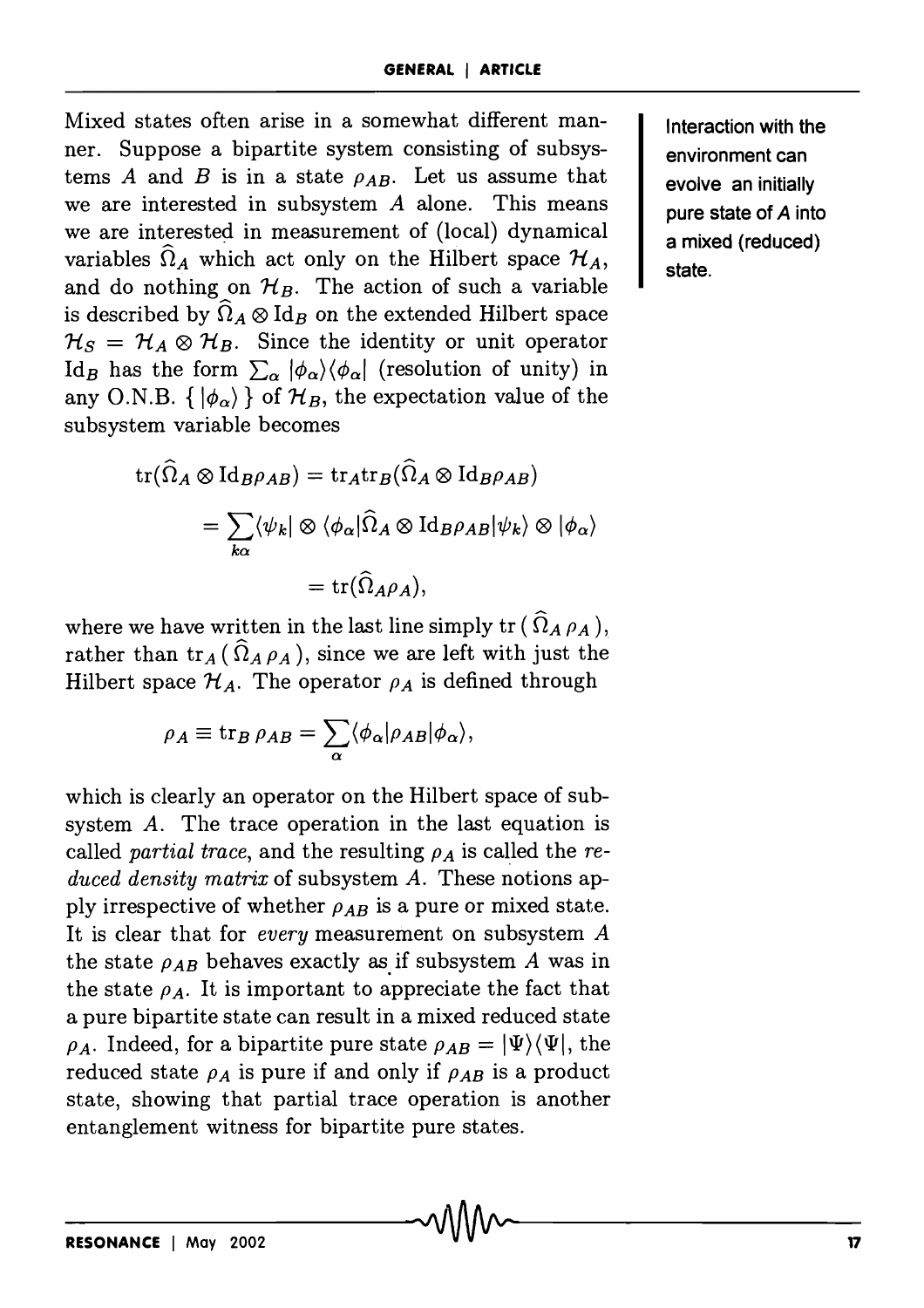Mixed states often arise in a somewhat different manner. Suppose a bipartite system consisting of subsystems *A* and *B* is in a state  $\rho_{AB}$ . Let us assume that we are interested in subsystem *A* alone. This means we are interested in measurement of (local) dynamical variables  $\hat{\Omega}_A$  which act only on the Hilbert space  $\mathcal{H}_A$ , and do nothing on  $\mathcal{H}_B$ . The action of such a variable is described by  $\hat{\Omega}_A \otimes \text{Id}_B$  on the extended Hilbert space  $\mathcal{H}_S = \mathcal{H}_A \otimes \mathcal{H}_B$ . Since the identity or unit operator Id<sub>B</sub> has the form  $\sum_{\alpha} |\phi_{\alpha}\rangle \langle \phi_{\alpha}|$  (resolution of unity) in any O.N.B.  $\{ | \phi_{\alpha} \rangle \}$  of  $\mathcal{H}_B$ , the expectation value of the subsystem variable becomes

$$
\operatorname{tr}(\widehat{\Omega}_{A} \otimes \operatorname{Id}_{B} \rho_{AB}) = \operatorname{tr}_{A} \operatorname{tr}_{B}(\widehat{\Omega}_{A} \otimes \operatorname{Id}_{B} \rho_{AB})
$$

$$
= \sum_{k\alpha} \langle \psi_{k} | \otimes \langle \phi_{\alpha} | \widehat{\Omega}_{A} \otimes \operatorname{Id}_{B} \rho_{AB} | \psi_{k} \rangle \otimes | \phi_{\alpha} \rangle
$$

$$
= \operatorname{tr}(\widehat{\Omega}_{A} \rho_{A}),
$$

where we have written in the last line simply  $\text{tr}(\Omega_A \rho_A),$ rather than  $tr_A(\hat{\Omega}_A \rho_A)$ , since we are left with just the Hilbert space  $\mathcal{H}_A$ . The operator  $\rho_A$  is defined through

$$
\rho_A \equiv \text{tr}_B \,\rho_{AB} = \sum_{\alpha} \langle \phi_{\alpha} | \rho_{AB} | \phi_{\alpha} \rangle,
$$

which is clearly an operator on the Hilbert space of subsystem *A.* The trace operation in the last equation is called *partial trace*, and the resulting  $\rho_A$  is called the *reduced density matrix* of subsystem *A.* These notions apply irrespective of whether  $\rho_{AB}$  is a pure or mixed state. It is clear that for *every* measurement on subsystem *A*  the state  $\rho_{AB}$  behaves exactly as if subsystem *A* was in the state  $\rho_A$ . It is important to appreciate the fact that a pure bipartite state can result in a mixed reduced state  $\rho_A$ . Indeed, for a bipartite pure state  $\rho_{AB} = |\Psi\rangle \langle \Psi|$ , the reduced state  $\rho_A$  is pure if and only if  $\rho_{AB}$  is a product state, showing that partial trace operation is another entanglement witness for bipartite pure states.

Interaction with the environment can evolve an initially pure state of A into a mixed (reduced) state.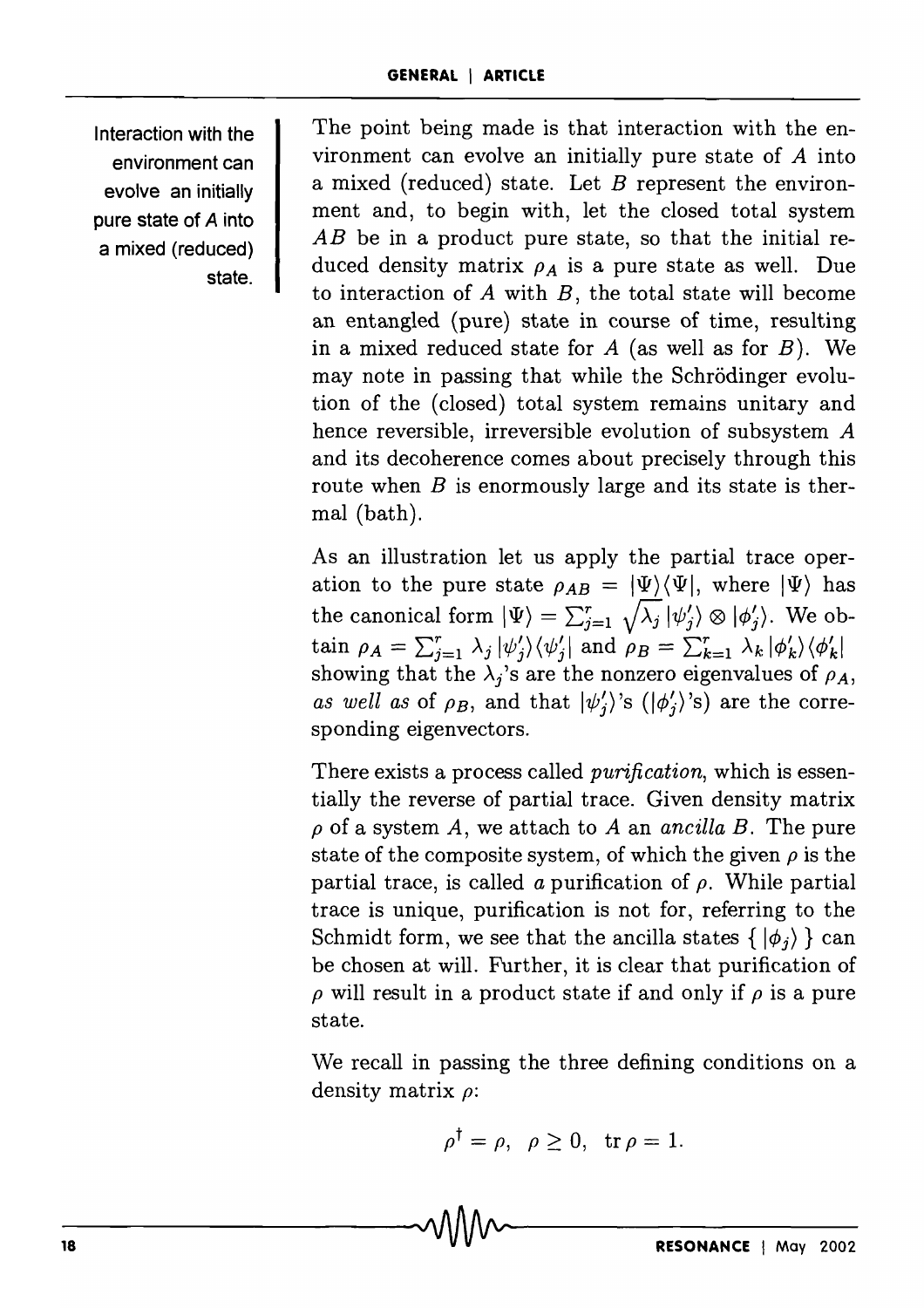Interaction with the environment can evolve an initially pure state of A into a mixed (reduced) state.

The point being made is that interaction with the environment can evolve an initially pure state of *A* into a mixed (reduced) state. Let *B* represent the environment and, to begin with, let the closed total system *AB* be in a product pure state, so that the initial reduced density matrix  $\rho_A$  is a pure state as well. Due to interaction of *A* with *B,* the total state will become an entangled (pure) state in course of time, resulting in a mixed reduced state for *A* (as well as for *B).* We may note in passing that while the Schrodinger evolution of the (closed) total system remains unitary and hence reversible, irreversible evolution of subsystem A and its decoherence comes about precisely through this route when *B* is enormously large and its state is thermal (bath).

As an illustration let us apply the partial trace operation to the pure state  $\rho_{AB} = |\Psi\rangle \langle \Psi|$ , where  $|\Psi\rangle$  has the canonical form  $|\Psi\rangle = \sum_{j=1}^r \sqrt{\lambda_j} |\psi_j'\rangle \otimes |\phi_j'\rangle$ . We obtain  $\rho_A = \sum_{j=1}^r \lambda_j |\psi'_j\rangle \langle \psi'_j|$  and  $\rho_B = \sum_{k=1}^r \lambda_k |\phi'_k\rangle \langle \phi'_k|$ showing that the  $\lambda_i$ 's are the nonzero eigenvalues of  $\rho_A$ , *as well as* of  $\rho_B$ , and that  $|\psi'_i\rangle$ 's  $(|\phi'_i\rangle)$ 's) are the corresponding eigenvectors.

There exists a process called *purification,* which is essentially the reverse of partial trace. Given density matrix  $\rho$  of a system A, we attach to A an *ancilla B*. The pure state of the composite system, of which the given  $\rho$  is the partial trace, is called *a* purification of  $\rho$ . While partial trace is unique, purification is not for, referring to the Schmidt form, we see that the ancilla states  $\{ | \phi_i \rangle \}$  can be chosen at will. Further, it is clear that purification of  $\rho$  will result in a product state if and only if  $\rho$  is a pure state.

We recall in passing the three defining conditions on a density matrix *p:* 

$$
\rho^{\dagger} = \rho, \ \ \rho \ge 0, \ \ \text{tr}\,\rho = 1.
$$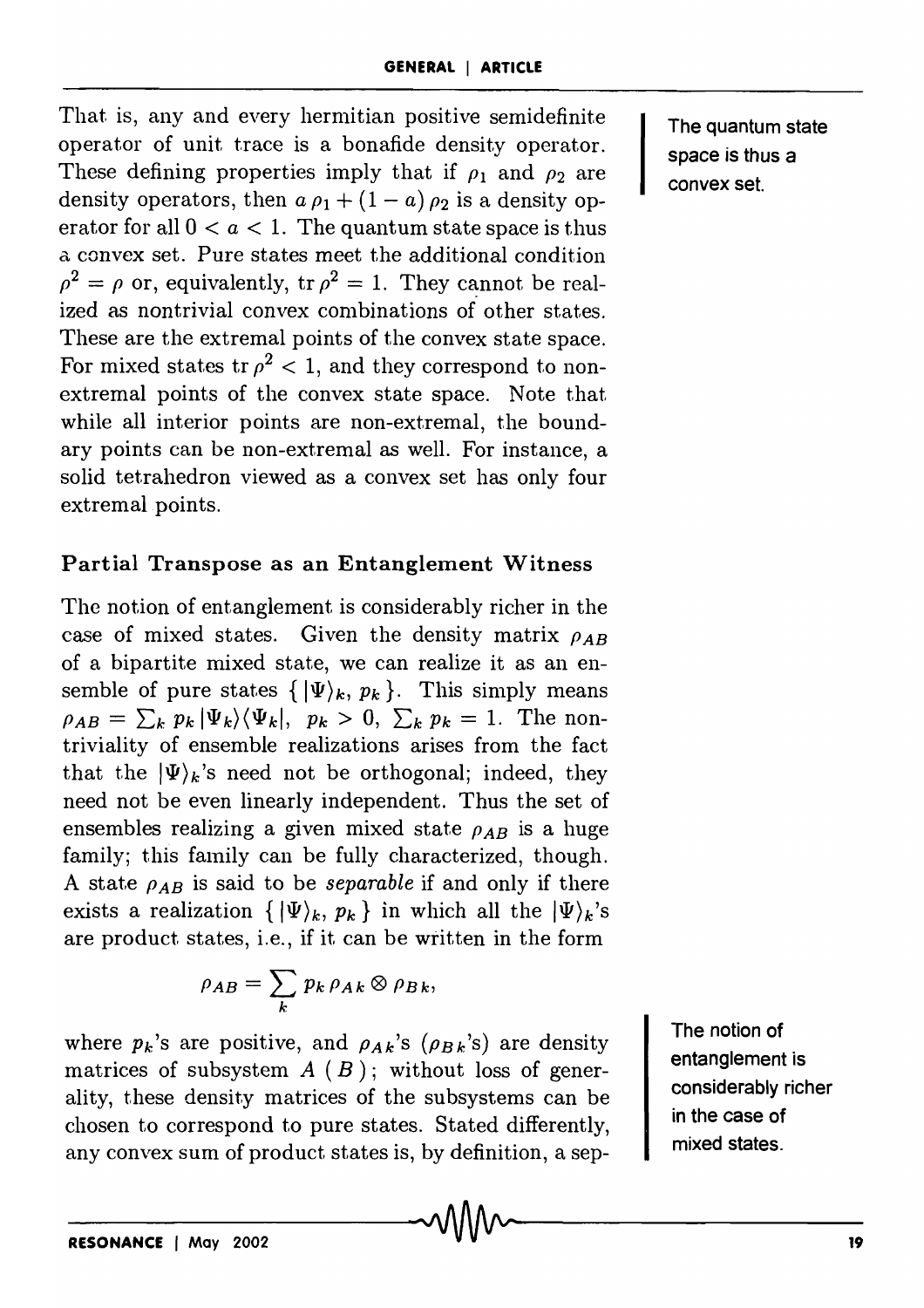That is, any and every hermitian positive semidefinite operator of unit trace is a bonafide density operator. These defining properties imply that if  $\rho_1$  and  $\rho_2$  are density operators, then  $a \rho_1 + (1 - a) \rho_2$  is a density operator for all  $0 < a < 1$ . The quantum state space is thus a convex set. Pure states meet the additional condition  $\rho^2 = \rho$  or, equivalently, tr  $\rho^2 = 1$ . They cannot be realized as nontrivial convex combinations of other states. These are the extremal points of the convex state space. For mixed states tr  $\rho^2$  < 1, and they correspond to nonextremal points of the convex state space. Note that while all interior points are non-extremal, the boundary points can be non-extremal as well. For instance, a solid tetrahedron viewed as a convex set has only four extremal points.

# Partial Transpose as an Entanglement Witness

The notion of entanglement is considerably richer in the case of mixed states. Given the density matrix  $\rho_{AB}$ of a bipartite mixed state, we can realize it as an ensemble of pure states  $\{|\Psi\rangle_k, p_k\}$ . This simply means  $\rho_{AB} = \sum_{k} p_k |\Psi_k\rangle \langle \Psi_k|, p_k > 0, \sum_{k} p_k = 1$ . The nontriviality of ensemble realizations arises from the fact that the  $|\Psi\rangle_k$ 's need not be orthogonal; indeed, they need not be even linearly independent. Thus the set of ensembles realizing a given mixed state  $\rho_{AB}$  is a huge family; this family can be fully characterized, though. A state  $\rho_{AB}$  is said to be *separable* if and only if there exists a realization  $\{|\Psi\rangle_k, p_k\}$  in which all the  $|\Psi\rangle_k$ 's are product states, i.e., if it can be written in the form

$$
\rho_{AB} = \sum_{k} p_k \rho_{Ak} \otimes \rho_{Bk},
$$

where  $p_k$ 's are positive, and  $\rho_{Ak}$ 's ( $\rho_{Bk}$ 's) are density matrices of subsystem  $A(B)$ ; without loss of generality, these density matrices of the subsystems can be chosen to correspond to pure states. Stated differently, any convex sum of product states is, by definition, a sepThe quantum state space is thus a convex set.

The notion of entanglement is considerably richer in the case of mixed states.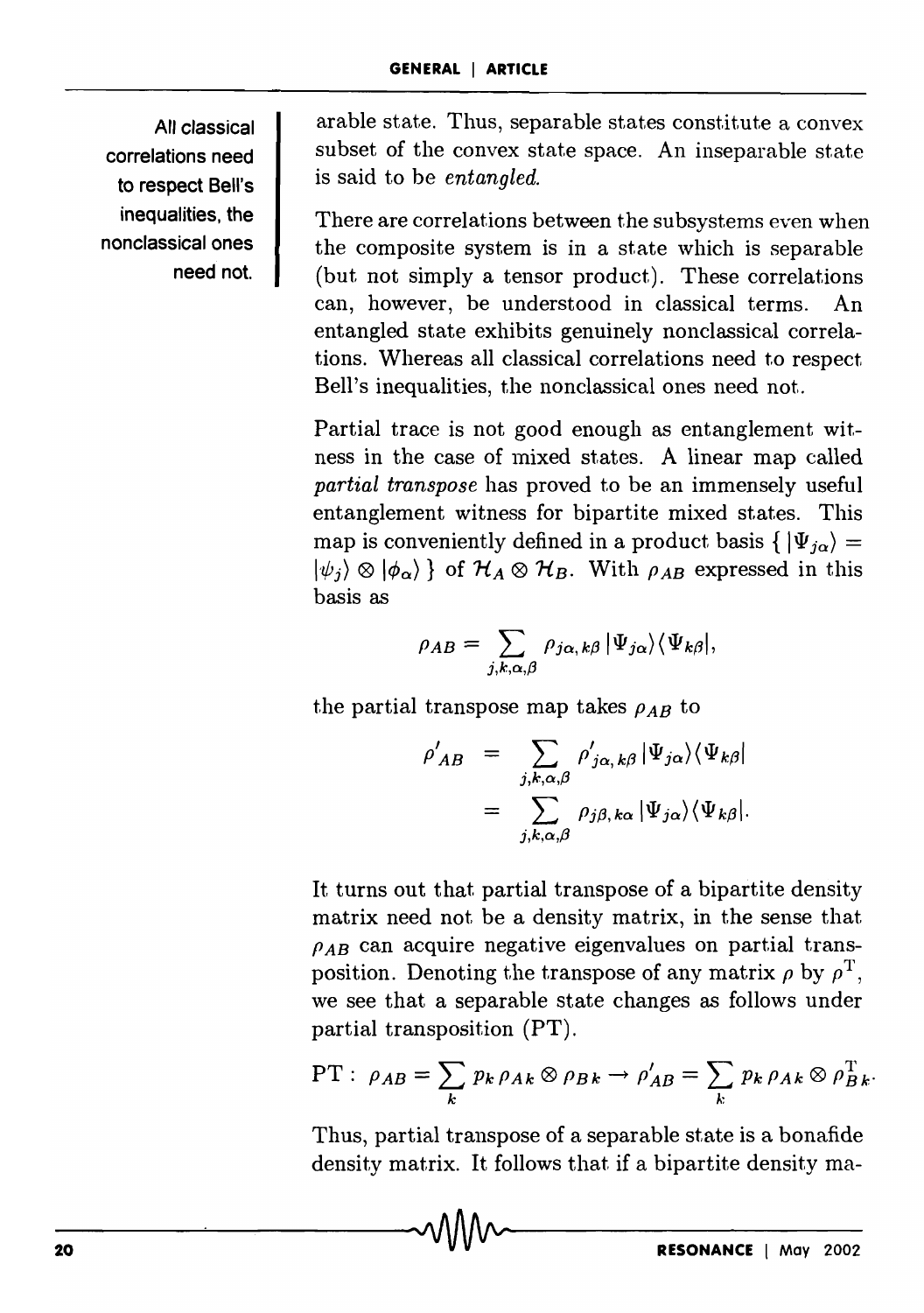All classical correlations need to respect Bell's inequalities, the nonclassical ones need not.

arable state. Thus, separable states constitute a convex subset of the convex state space. An inseparable state is said to be *entangled.* 

There are correlations between the subsystems even when the composite system is in a state which is separable (but not simply a tensor product). These correlations can, however, be understood in classical terms. An entangled state exhibits genuinely nonclassical correlations. Whereas all classical correlations need to respect Bell's inequalities, the nonclassical ones need not.

Partial trace is not good enough as entanglement witness in the case of mixed states. A linear map called *partial transpose* has proved to be an immensely useful entanglement witness for bipartite mixed states. This map is conveniently defined in a product basis  $\{|\Psi_{i\alpha}\rangle =$  $|\psi_i\rangle \otimes |\phi_\alpha\rangle$  } of  $\mathcal{H}_A \otimes \mathcal{H}_B$ . With  $\rho_{AB}$  expressed in this basis as

$$
\rho_{AB} = \sum_{j,k,\alpha,\beta} \rho_{j\alpha,k\beta} |\Psi_{j\alpha}\rangle \langle \Psi_{k\beta}|,
$$

the partial transpose map takes  $\rho_{AB}$  to

$$
\rho'_{AB} = \sum_{j,k,\alpha,\beta} \rho'_{j\alpha,k\beta} |\Psi_{j\alpha}\rangle \langle \Psi_{k\beta}|
$$
  
= 
$$
\sum_{j,k,\alpha,\beta} \rho_{j\beta,k\alpha} |\Psi_{j\alpha}\rangle \langle \Psi_{k\beta}|.
$$

It turns out that partial transpose of a bipartite density matrix need not be a density matrix, in the sense that  $\rho_{AB}$  can acquire negative eigenvalues on partial transposition. Denoting the transpose of any matrix  $\rho$  by  $\rho^T$ , we see that a separable state changes as follows under partial transposition (PT).

PT: 
$$
\rho_{AB} = \sum_{k} p_k \rho_{Ak} \otimes \rho_{Bk} \rightarrow \rho'_{AB} = \sum_{k} p_k \rho_{Ak} \otimes \rho_{Bk}^{\mathrm{T}}.
$$

Thus, partial transpose of a separable state is a bonafide density matrix. It follows that if a bipartite density ma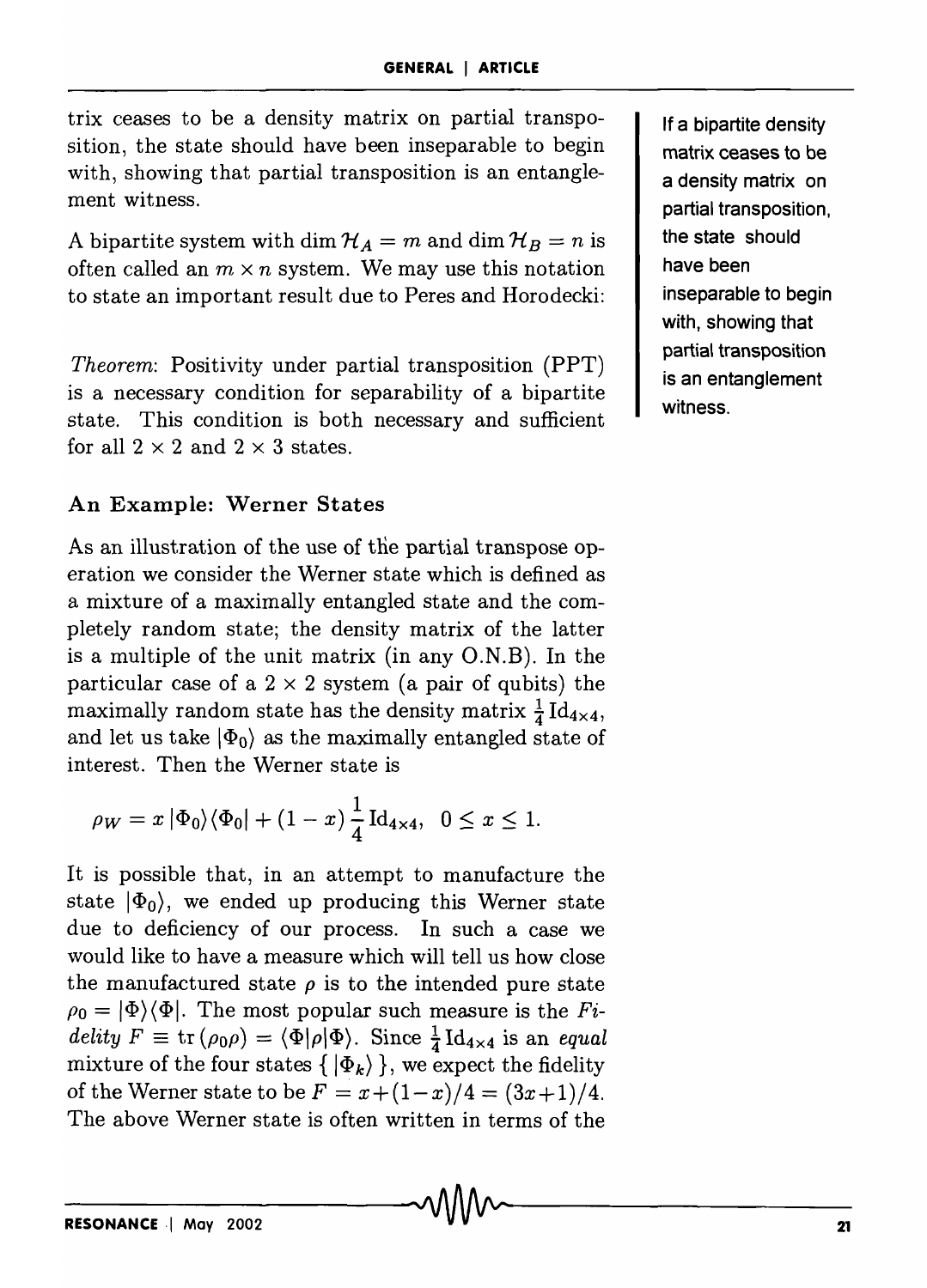trix ceases to be a density matrix on partial transposition, the state should have been inseparable to begin with, showing that partial transposition is an entanglement witness.

A bipartite system with dim  $\mathcal{H}_A = m$  and dim  $\mathcal{H}_B = n$  is often called an  $m \times n$  system. We may use this notation to state an important result due to Peres and Horodecki:

*Theorem:* Positivity under partial transposition (PPT) is a necessary condition for separability of a bipartite state. This condition is both necessary and sufficient for all  $2 \times 2$  and  $2 \times 3$  states.

#### An Example: Werner States

As an illustration of the use of the partial transpose operation we consider the Werner state which is defined as a mixture of a maximally entangled state and the completely random state; the density matrix of the latter is a multiple of the unit matrix (in any  $O.N.B$ ). In the particular case of a  $2 \times 2$  system (a pair of qubits) the maximally random state has the density matrix  $\frac{1}{4} \text{Id}_{4\times4}$ , and let us take  $|\Phi_0\rangle$  as the maximally entangled state of interest. Then the Werner state is

$$
\rho_W = x |\Phi_0\rangle \langle \Phi_0| + (1-x) \frac{1}{4} \mathrm{Id}_{4 \times 4}, \ \ 0 \le x \le 1.
$$

It is possible that, in an attempt to manufacture the state  $|\Phi_0\rangle$ , we ended up producing this Werner state due to deficiency of our process. In such a case we would like to have a measure which will tell us how close the manufactured state  $\rho$  is to the intended pure state  $\rho_0 = |\Phi\rangle\langle\Phi|$ . The most popular such measure is the *Fidelity*  $F \equiv \text{tr}(\rho_0 \rho) = \langle \Phi | \rho | \Phi \rangle$ . Since  $\frac{1}{4} \text{Id}_{4 \times 4}$  is an *equal* mixture of the four states  $\{|\Phi_k\rangle\}$ , we expect the fidelity of the Werner state to be  $F = x + (1-x)/4 = (3x+1)/4$ . The above Werner state is often written in terms of the

If a bipartite density matrix ceases to be a density matrix on partial transposition, the state should have been inseparable to begin with, showing that partial transposition is an entanglement witness.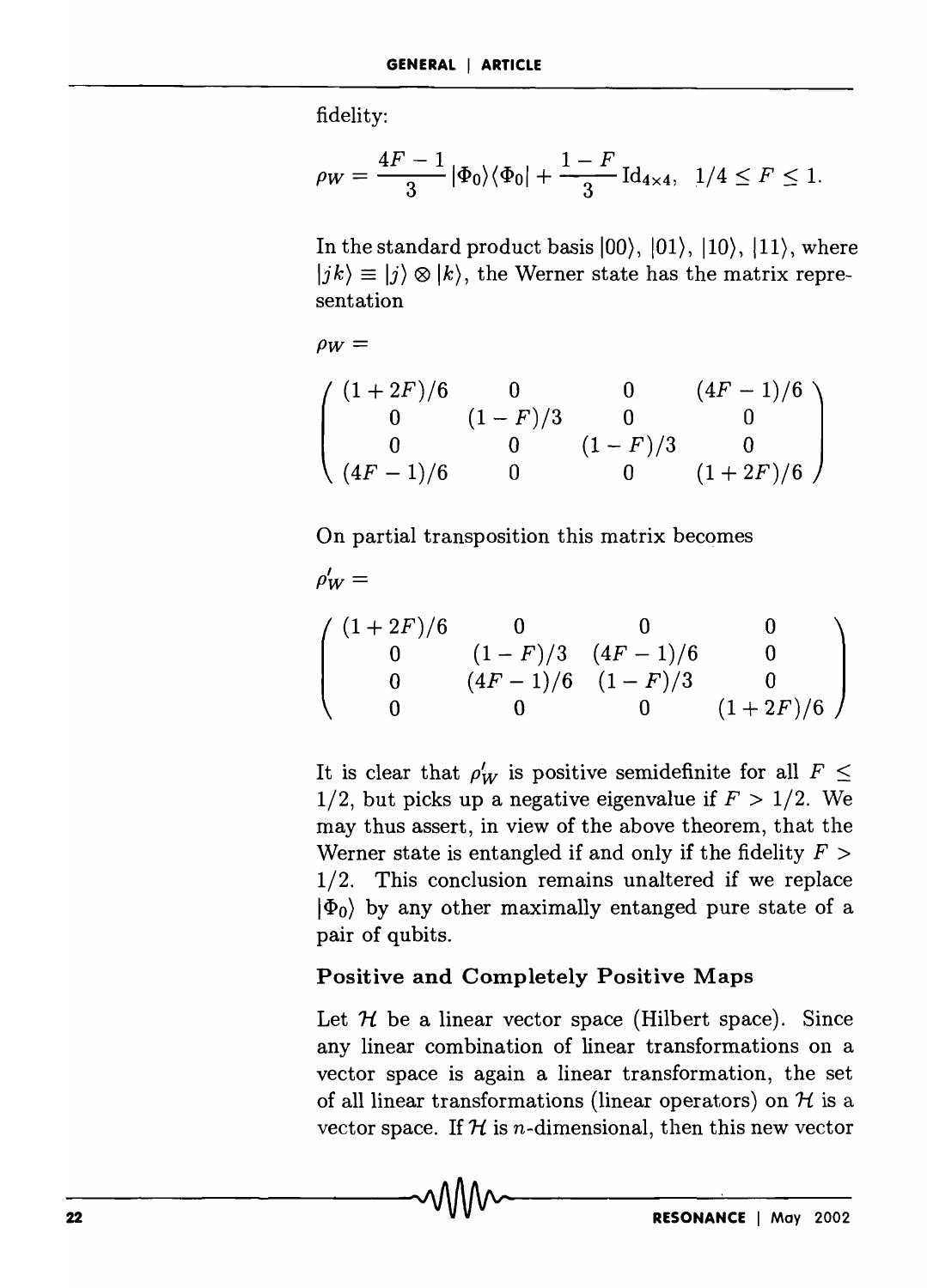fidelity:

$$
\rho_W = \frac{4F - 1}{3} |\Phi_0\rangle\langle\Phi_0| + \frac{1 - F}{3} \operatorname{Id}_{4 \times 4}, \ \ 1/4 \le F \le 1.
$$

In the standard product basis  $|00\rangle$ ,  $|01\rangle$ ,  $|10\rangle$ ,  $|11\rangle$ , where  $|jk\rangle \equiv |j\rangle \otimes |k\rangle$ , the Werner state has the matrix representation

$$
\rho_W =
$$

$$
\left(\begin{array}{cccc} (1+2F)/6 & 0 & 0 & (4F-1)/6 \\ 0 & (1-F)/3 & 0 & 0 \\ 0 & 0 & (1-F)/3 & 0 \\ (4F-1)/6 & 0 & 0 & (1+2F)/6 \end{array}\right)
$$

On partial transposition this matrix becomes

$$
\rho'_W = \left(\begin{array}{cccc} (1+2F)/6 & 0 & 0 & 0 \\ 0 & (1-F)/3 & (4F-1)/6 & 0 \\ 0 & (4F-1)/6 & (1-F)/3 & 0 \\ 0 & 0 & 0 & (1+2F)/6 \end{array}\right)
$$

It is clear that  $\rho'_{W}$  is positive semidefinite for all  $F \leq$ 1/2, but picks up a negative eigenvalue if  $F > 1/2$ . We may thus assert, in view of the above theorem, that the Werner state is entangled if and only if the fidelity  $F >$ 1/2. This conclusion remains unaltered if we replace  $|\Phi_0\rangle$  by any other maximally entanged pure state of a pair of qubits.

#### Positive and Completely Positive Maps

Let  $H$  be a linear vector space (Hilbert space). Since any linear combination of linear transformations on a vector space is again a linear transformation, the set of all linear transformations (linear operators) on  $H$  is a vector space. If  $H$  is n-dimensional, then this new vector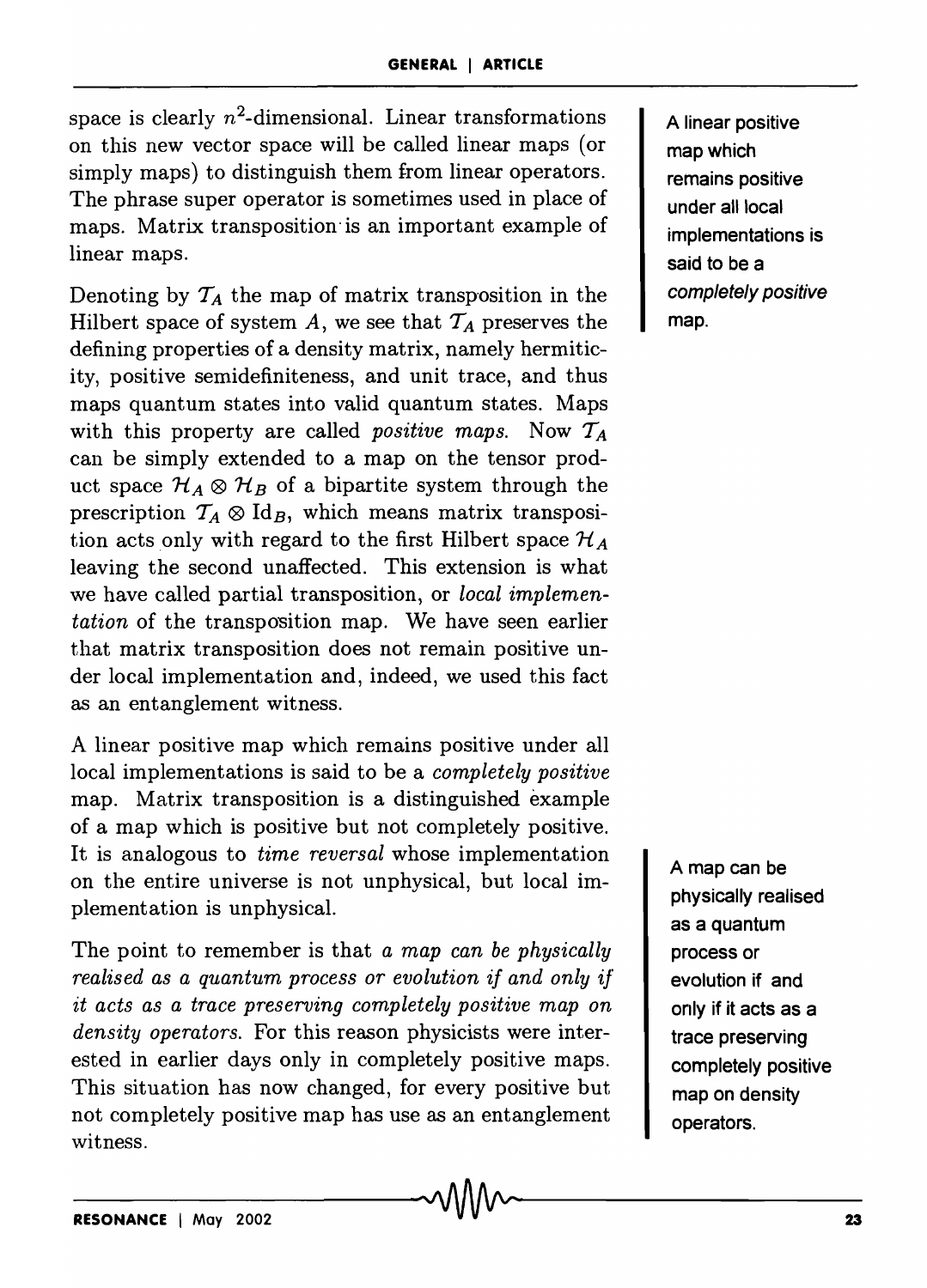space is clearly  $n^2$ -dimensional. Linear transformations on this new vector space will be called linear maps (or simply maps) to distinguish them from linear operators. The phrase super operator is sometimes used in place of maps. Matrix transposition' is an important example of linear maps.

Denoting by  $T_A$  the map of matrix transposition in the Hilbert space of system A, we see that  $T_A$  preserves the defining properties of a density matrix, namely hermiticity, positive semidefiniteness, and unit trace, and thus maps quantum states into valid quantum states. Maps with this property are called *positive maps.* Now *TA*  can be simply extended to a map on the tensor product space  $\mathcal{H}_A \otimes \mathcal{H}_B$  of a bipartite system through the prescription  $T_A \otimes Id_B$ , which means matrix transposition acts only with regard to the first Hilbert space  $\mathcal{H}_A$ leaving the second unaffected. This extension is what we have called partial transposition, or *local implementation* of the transposition map. We have seen earlier that matrix transposition does not remain positive under local implementation and, indeed, we used this fact as an entanglement witness.

A linear positive map which remains positive under all local implementations is said to be a *completely positive*  map. Matrix transposition is a distinguished example of a map which is positive but not completely positive. It is analogous to *time reversal* whose implementation on the entire universe is not unphysical, but local implementation is unphysical.

The point to remember is that *a map can be physically realised as a quantum process or evolution if and only* if *it acts as a trace preserving completely positive map on density operators.* For this reason physicists were interested in earlier days only in completely positive maps. This situation has now changed, for every positive but not completely positive map has use as an entanglement witness.

A linear positive map which remains positive under all local implementations is said to be a completely positive map.

A map can be physically realised as a quantum process or evolution if and only if it acts as a trace preserving completely positive map on density operators.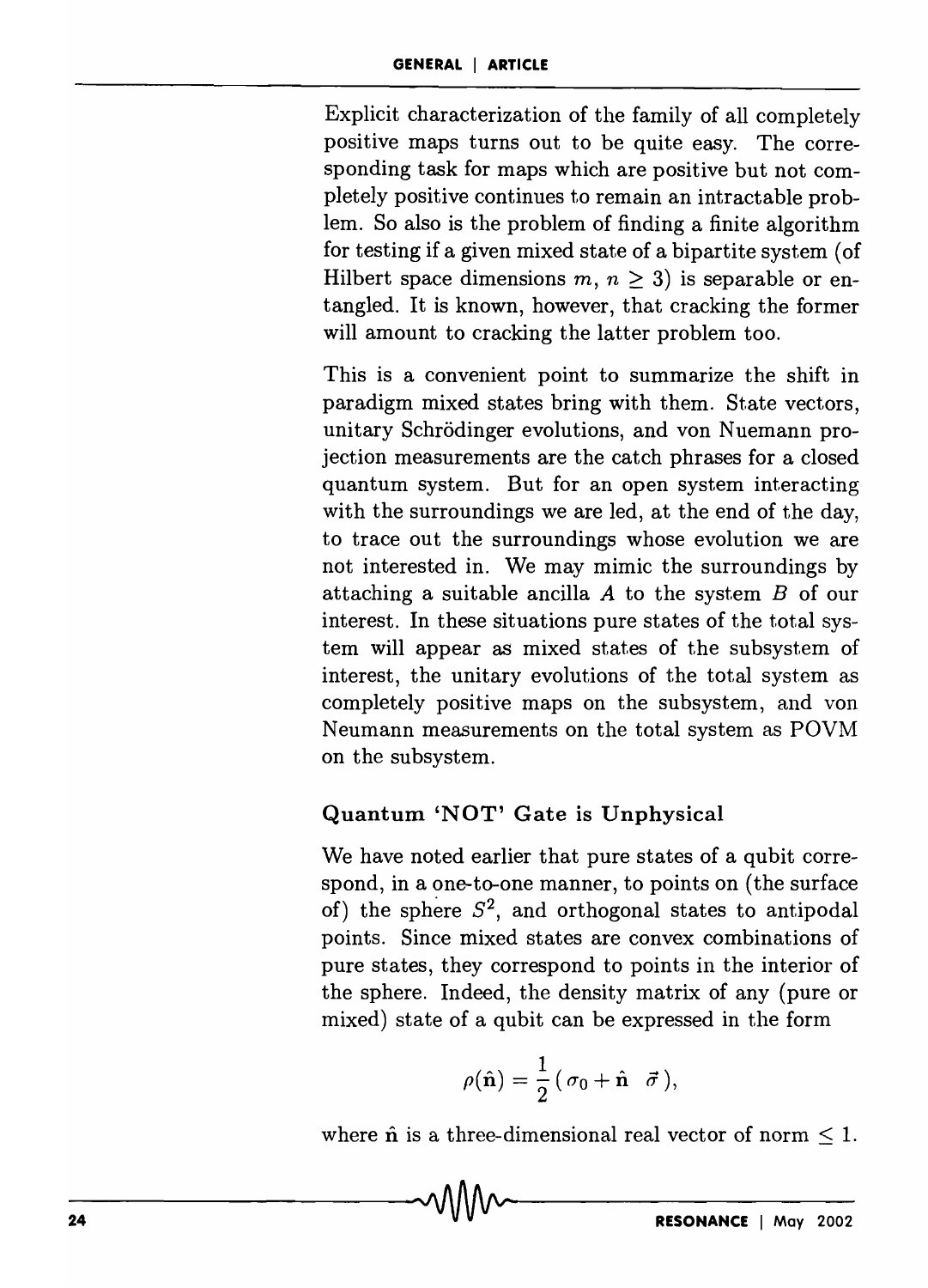Explicit characterization of the family of all completely positive maps turns out to be quite easy. The corresponding task for maps which are positive but not completely positive continues to remain an intractable problem. So also is the problem of finding a finite algorithm for testing if a given mixed state of a bipartite system (of Hilbert space dimensions  $m, n \geq 3$ ) is separable or entangled. It is known, however, that cracking the former will amount to cracking the latter problem too.

This is a convenient point to summarize the shift in paradigm mixed states bring with them. State vectors, unitary Schrödinger evolutions, and von Nuemann projection measurements are the catch phrases for a closed quantum system. But for an open system interacting with the surroundings we are led, at the end of the day, to trace out the surroundings whose evolution we are not interested in. We may mimic the surroundings by attaching a suitable ancilla *A* to the system *B* of our interest. In these situations pure states of the total system will appear as mixed states of the subsystem of interest, the unitary evolutions of the total system as completely positive maps on the subsystem, and von Neumann measurements on the total system as POVM on the subsystem.

# Quantum 'NOT' Gate is Unphysical

We have noted earlier that pure states of a qubit correspond, in a one-to-one manner, to points on (the surface of) the sphere  $S^2$ , and orthogonal states to antipodal points. Since mixed states are convex combinations of pure states, they correspond to points in the interior of the sphere. Indeed, the density matrix of any (pure or mixed) state of a qubit can be expressed in the form

$$
\rho(\hat{\mathbf{n}}) = \frac{1}{2} (\sigma_0 + \hat{\mathbf{n}} \ \vec{\sigma}),
$$

where  $\hat{\bf n}$  is a three-dimensional real vector of norm  $\leq 1$ .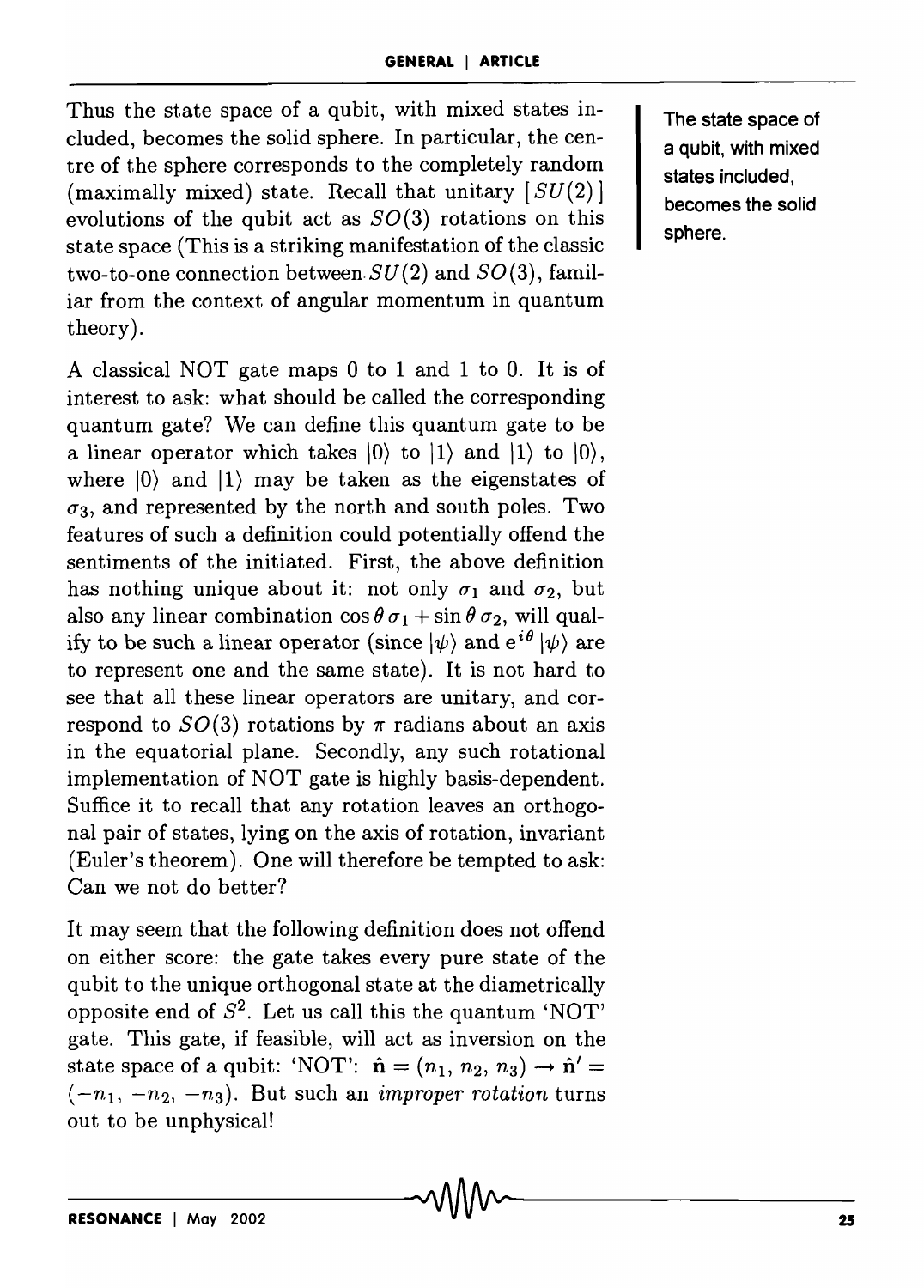Thus the state space of a qubit, with mixed states included, becomes the solid sphere. In particular, the centre of the sphere corresponds to the completely random (maximally mixed) state. Recall that unitary  $[SU(2)]$ evolutions of the qubit act as  $SO(3)$  rotations on this state space (This is a striking manifestation of the classic two-to-one connection between  $SU(2)$  and  $SO(3)$ , familiar from the context of angular momentum in quantum theory).

A classical NOT gate maps 0 to 1 and 1 to O. It is of interest to ask: what should be called the corresponding quantum gate? We can define this quantum gate to be a linear operator which takes  $\vert 0 \rangle$  to  $\vert 1 \rangle$  and  $\vert 1 \rangle$  to  $\vert 0 \rangle$ , where  $|0\rangle$  and  $|1\rangle$  may be taken as the eigenstates of  $\sigma_3$ , and represented by the north and south poles. Two features of such a definition could potentially offend the sentiments of the initiated. First, the above definition has nothing unique about it: not only  $\sigma_1$  and  $\sigma_2$ , but also any linear combination  $\cos \theta \sigma_1 + \sin \theta \sigma_2$ , will qualify to be such a linear operator (since  $|\psi\rangle$  and  $e^{i\theta} |\psi\rangle$  are to represent one and the same state). It is not hard to see that all these linear operators are unitary, and correspond to  $SO(3)$  rotations by  $\pi$  radians about an axis in the equatorial plane. Secondly, any such rotational implementation of NOT gate is highly basis-dependent. Suffice it to recall that any rotation leaves an orthogonal pair of states, lying on the axis of rotation, invariant (Euler's theorem). One will therefore be tempted to ask: Can we not do better?

It may seem that the following definition does not offend on either score: the gate takes every pure state of the qubit to the unique orthogonal state at the diametrically opposite end of *S2.* Let us call this the quantum 'NOT' gate. This gate, if feasible, will act as inversion on the state space of a qubit: 'NOT':  $\hat{\mathbf{n}} = (n_1, n_2, n_3) \rightarrow \hat{\mathbf{n}}' =$  $(-n_1, -n_2, -n_3)$ . But such an *improper rotation* turns out to be unphysical!

The state space of a qubit, with mixed states included, becomes the solid sphere.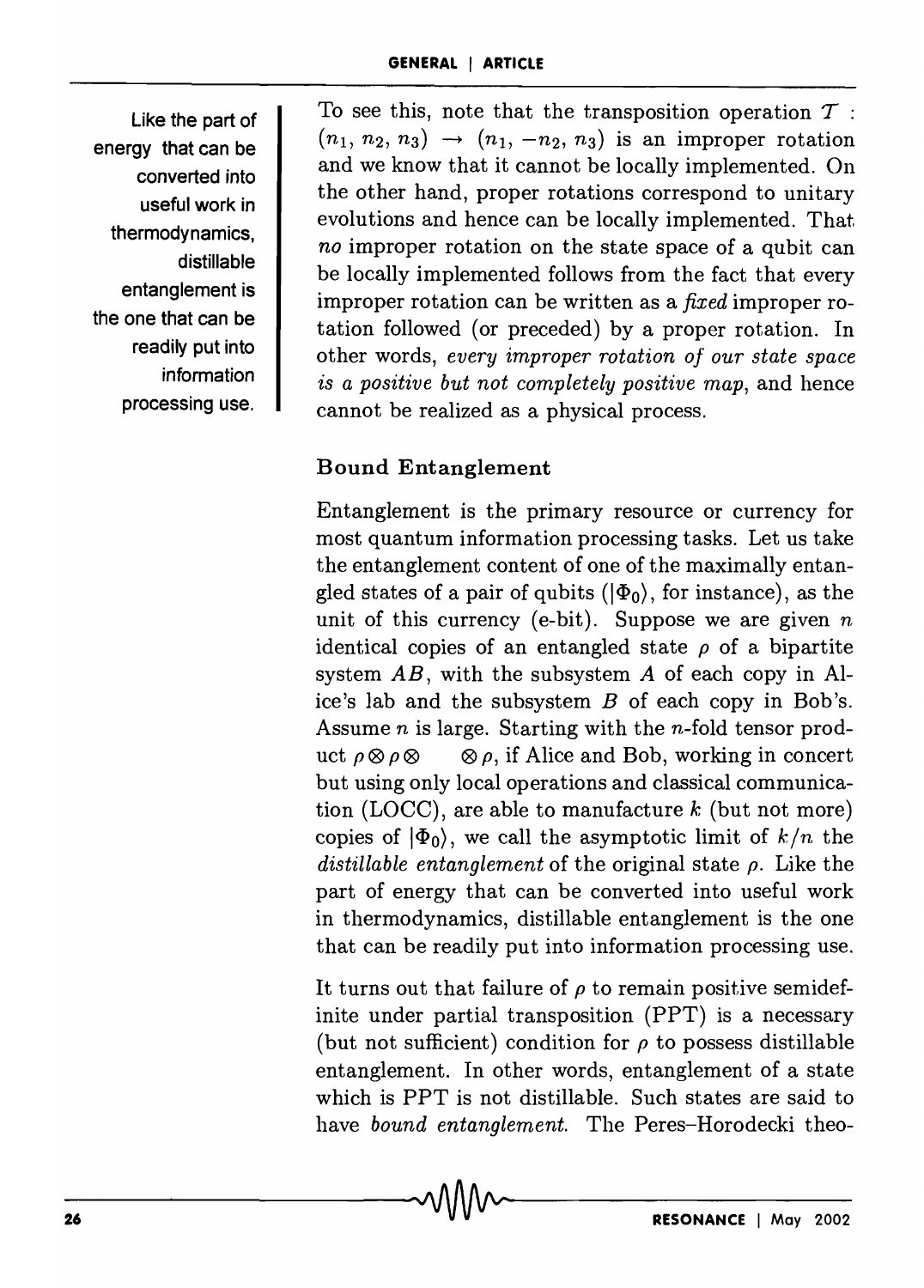Like the part of energy that can be converted into useful work in thermodynamics, distillable entanglement is the one that can be readily put into information processing use.

To see this, note that the transposition operation  $\mathcal T$ :  $(n_1, n_2, n_3) \rightarrow (n_1, -n_2, n_3)$  is an improper rotation and we know that it cannot be locally implemented. On the other hand, proper rotations correspond to unitary evolutions and hence can be locally implemented. That *no* improper rotation on the state space of a qubit can be locally implemented follows from the fact that every improper rotation can be written as a *fixed* improper rotation followed (or preceded) by a proper rotation. In other words, *every improper rotation of our state space is a positive but not completely positive map,* and hence cannot be realized as a physical process.

# Bound Entanglement

Entanglement is the primary resource or currency for most quantum information processing tasks. Let us take the entanglement content of one of the maximally entangled states of a pair of qubits  $(|\Phi_0\rangle)$ , for instance), as the unit of this currency (e-bit). Suppose we are given *n*  identical copies of an entangled state  $\rho$  of a bipartite system *AB,* with the subsystem *A* of each copy in Alice's lab and the subsystem *B* of each copy in Bob's. Assume *n* is large. Starting with the n-fold tensor product  $\rho \otimes \rho \otimes \cdots \otimes \rho$ , if Alice and Bob, working in concert but using only local operations and classical communication (LOCC), are able to manufacture *k* (but not more) copies of  $|\Phi_0\rangle$ , we call the asymptotic limit of  $k/n$  the *distillable entanglement* of the original state *p.* Like the part of energy that can be converted into useful work in thermodynamics, distillable entanglement is the one that can be readily put into information processing use.

It turns out that failure of  $\rho$  to remain positive semidefinite under partial transposition (PPT) is a necessary (but not sufficient) condition for  $\rho$  to possess distillable entanglement. In other words, entanglement of a state which is PPT is not distillable. Such states are said to have *bound entanglement.* The Peres-Horodecki theo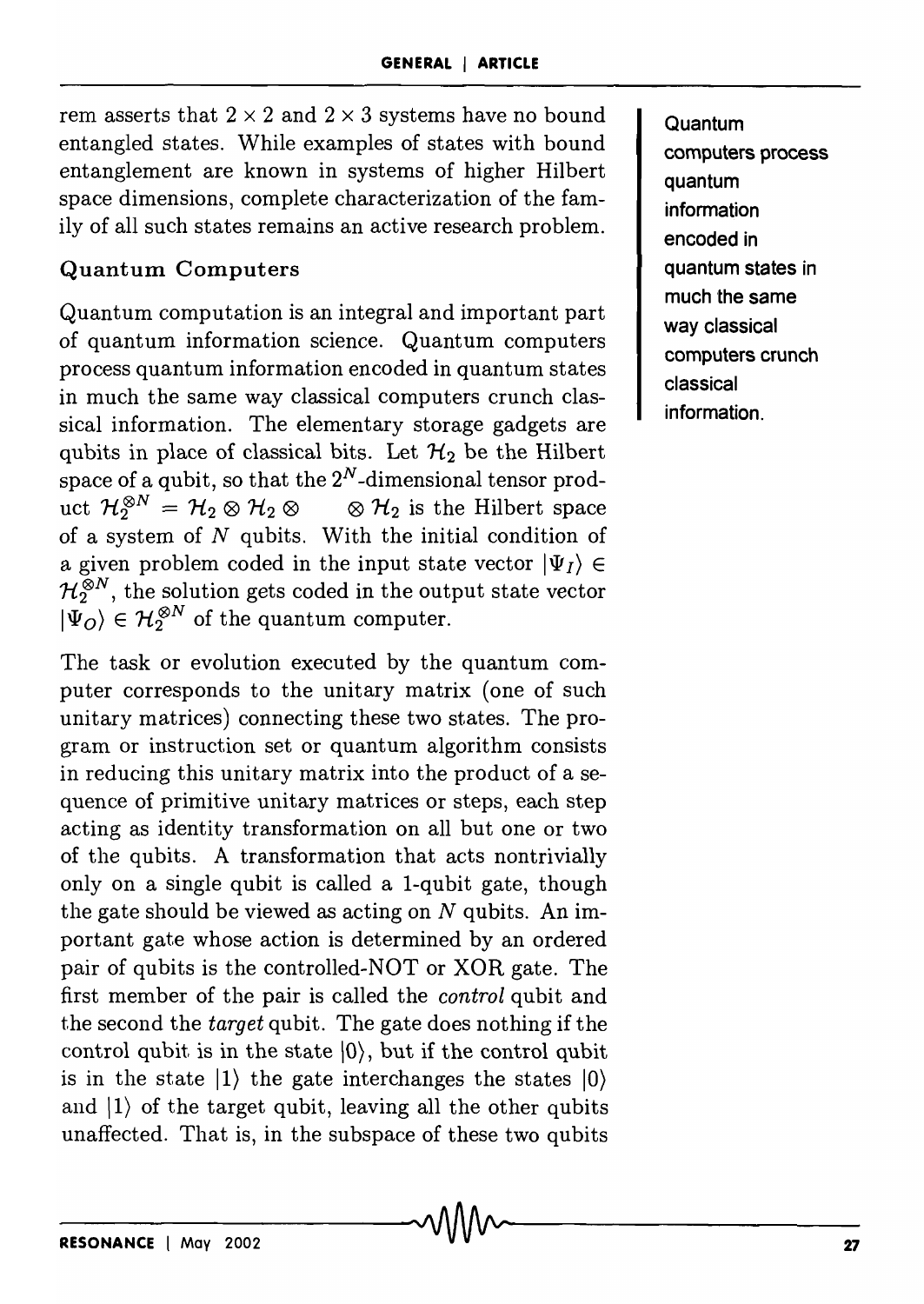rem asserts that  $2 \times 2$  and  $2 \times 3$  systems have no bound entangled states. While examples of states with bound entanglement are known in systems of higher Hilbert space dimensions, complete characterization of the family of all such states remains an active research problem.

# **Quantum Computers**

Quantum computation is an integral and important part of quantum information science. Quantum computers process quantum information encoded in quantum states in much the same way classical computers crunch classical information. The elementary storage gadgets are qubits in place of classical bits. Let  $\mathcal{H}_2$  be the Hilbert space of a qubit, so that the  $2^N$ -dimensional tensor product  $\mathcal{H}_2^{\otimes N} = \mathcal{H}_2 \otimes \mathcal{H}_2 \otimes \cdots \otimes \mathcal{H}_2$  is the Hilbert space of a system of *N* qubits. With the initial condition of a given problem coded in the input state vector  $|\Psi_I\rangle \in$  $\mathcal{H}_2^{\otimes N}$ , the solution gets coded in the output state vector  $|\Psi_{Q}\rangle \in \mathcal{H}_{2}^{\otimes N}$  of the quantum computer.

The task or evolution executed by the quantum computer corresponds to the unitary matrix (one of such unitary matrices) connecting these two states. The program or instruction set or quantum algorithm consists in reducing this unitary matrix into the product of a sequence of primitive unitary matrices or steps, each step acting as identity transformation on all but one or two of the qubits. A transformation that acts nontrivially only on a single qubit is called a l-qubit gate, though the gate should be viewed as acting on  $N$  qubits. An important gate whose action is determined by an ordered pair of qubits is the controlled-NOT or XOR gate. The first member of the pair is called the *control* qubit and t.he second the *target* qubit. The gate does nothing if the control qubit is in the state  $\langle 0 \rangle$ , but if the control qubit is in the state  $|1\rangle$  the gate interchanges the states  $|0\rangle$ and  $|1\rangle$  of the target qubit, leaving all the other qubits unaffected. That is, in the subspace of these two qubits

**Quantum computers process quantum information**  encoded in **quantum states in much the same way classical computers crunch classical information.**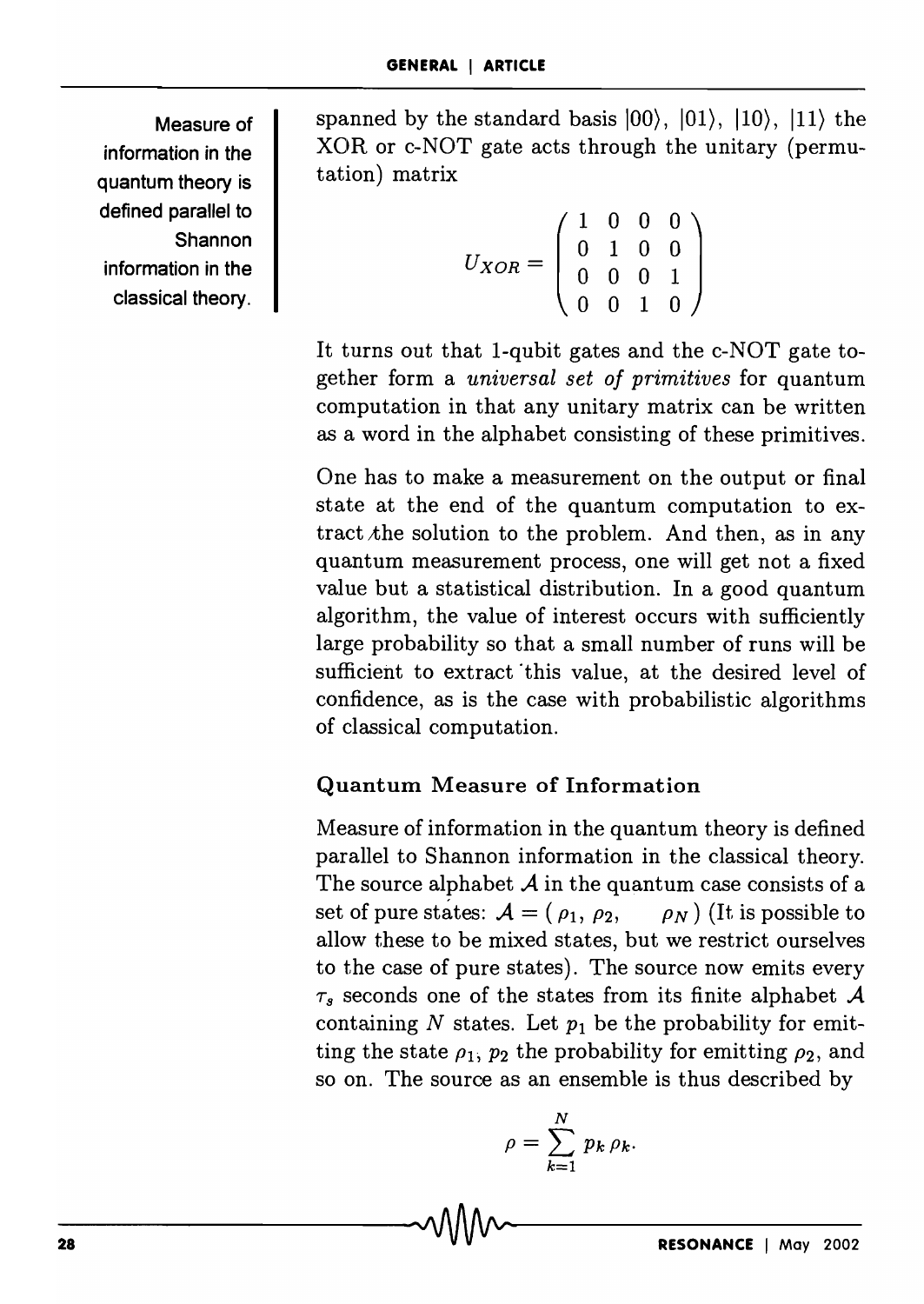Measure of information in the quantum theory is defined parallel to **Shannon** information in the classical theory.

spanned by the standard basis  $|00\rangle$ ,  $|01\rangle$ ,  $|10\rangle$ ,  $|11\rangle$  the XOR or c-NOT gate acts through the unitary (permutation) matrix

$$
U_{XOR} = \left(\begin{array}{cccc} 1 & 0 & 0 & 0 \\ 0 & 1 & 0 & 0 \\ 0 & 0 & 0 & 1 \\ 0 & 0 & 1 & 0 \end{array}\right)
$$

It turns out that 1-qubit gates and the c-NOT gate together form a *universal set of primitives* for quantum computation in that any unitary matrix can be written as a word in the alphabet consisting of these primitives.

One has to make a measurement on the output or final state at the end of the quantum computation to extract  $x$ the solution to the problem. And then, as in any quantum measurement process, one will get not a fixed value but a statistical distribution. In a good quantum algorithm, the value of interest occurs with sufficiently large probability so that a small number of runs will be sufficient to extract this value, at the desired level of confidence, as is the case with probabilistic algorithms of classical computation.

# Quantum Measure of Information

Measure of information in the quantum theory is defined parallel to Shannon information in the classical theory. The source alphabet *A* in the quantum case consists of a set of pure states:  $A = (\rho_1, \rho_2, \rho_N)$  (It is possible to allow these to be mixed states, but we restrict ourselves to the case of pure states). The source now emits every  $\tau_s$  seconds one of the states from its finite alphabet  $\mathcal A$ containing  $N$  states. Let  $p_1$  be the probability for emitting the state  $\rho_1$ ,  $p_2$  the probability for emitting  $\rho_2$ , and so on. The source as an ensemble is thus described by

$$
\rho = \sum_{k=1}^{N} p_k \rho_k.
$$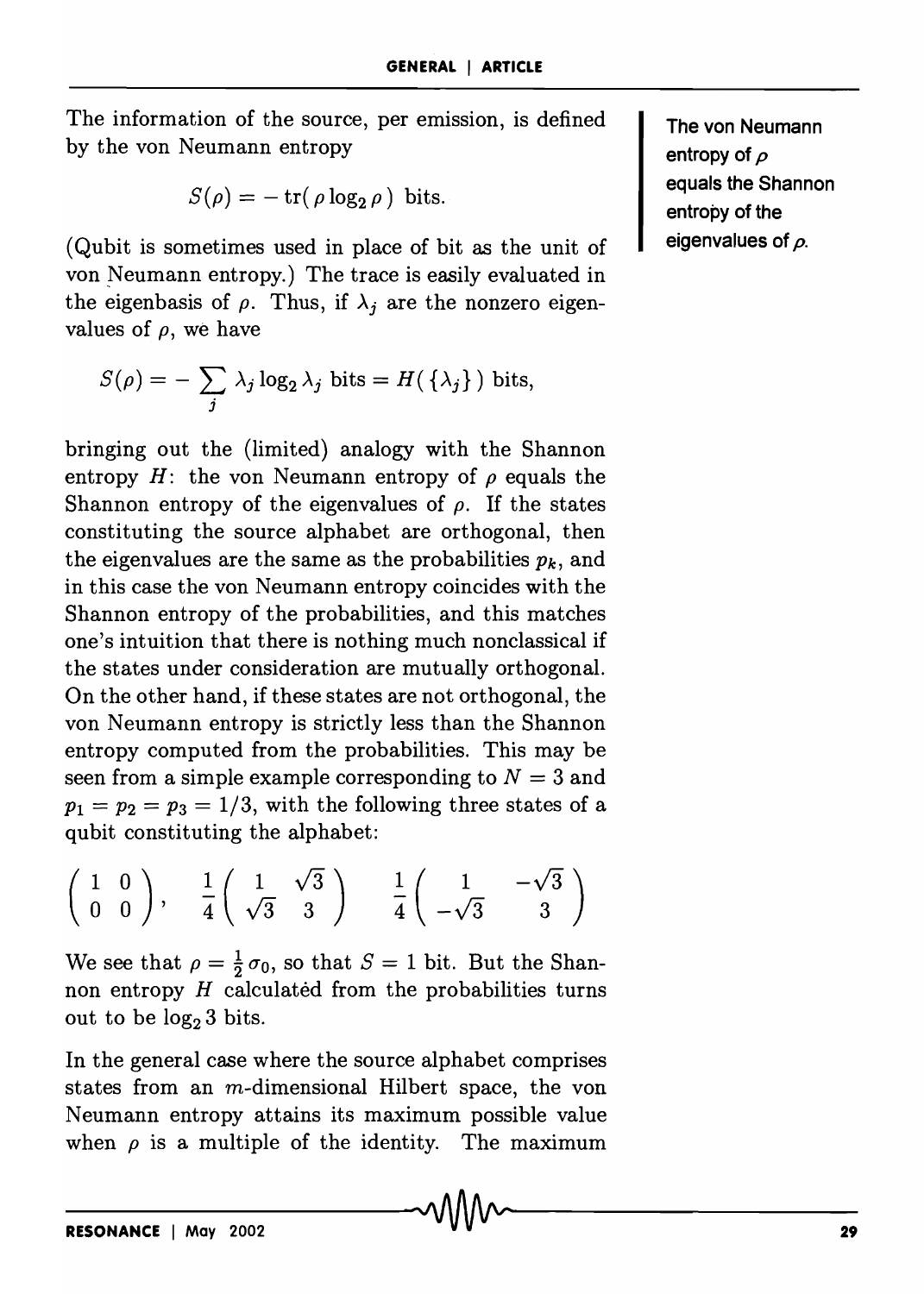The information of the source, per emission, is defined by the von Neumann entropy

$$
S(\rho) = -\operatorname{tr}(\rho \log_2 \rho) \text{ bits.}
$$

(Qubit is sometimes used in place of bit as the unit of von Neumann entropy.) The trace is easily evaluated in the eigenbasis of  $\rho$ . Thus, if  $\lambda_i$  are the nonzero eigenvalues of  $\rho$ , we have

$$
S(\rho) = -\sum_{j} \lambda_j \log_2 \lambda_j \text{ bits} = H(\{\lambda_j\}) \text{ bits},
$$

bringing out the (limited) analogy with the Shannon entropy  $H$ : the von Neumann entropy of  $\rho$  equals the Shannon entropy of the eigenvalues of  $\rho$ . If the states constituting the source alphabet are orthogonal, then the eigenvalues are the same as the probabilities  $p_k$ , and in this case the von Neumann entropy coincides with the Shannon entropy of the probabilities, and this matches one's intuition that there is nothing much nonclassical if the states under consideration are mutually orthogonal. On the other hand, if these states are not orthogonal, the von Neumann entropy is strictly less than the Shannon entropy computed from the probabilities. This may be seen from a simple example corresponding to  $N = 3$  and  $p_1 = p_2 = p_3 = 1/3$ , with the following three states of a qubit constituting the alphabet:

$$
\left(\begin{array}{cc} 1 & 0 \\ 0 & 0 \end{array}\right), \quad \frac{1}{4} \left(\begin{array}{cc} 1 & \sqrt{3} \\ \sqrt{3} & 3 \end{array}\right) \quad \frac{1}{4} \left(\begin{array}{cc} 1 & -\sqrt{3} \\ -\sqrt{3} & 3 \end{array}\right)
$$

We see that  $\rho = \frac{1}{2} \sigma_0$ , so that  $S = 1$  bit. But the Shannon entropy  $H$  calculated from the probabilities turns out to be  $log_2 3$  bits.

In the general case where the source alphabet comprises states from an  $m$ -dimensional Hilbert space, the von Neumann entropy attains its maximum possible value when  $\rho$  is a multiple of the identity. The maximum

**The von Neumann entropy of p equals the Shannon entropy of the eigenvalues of p.**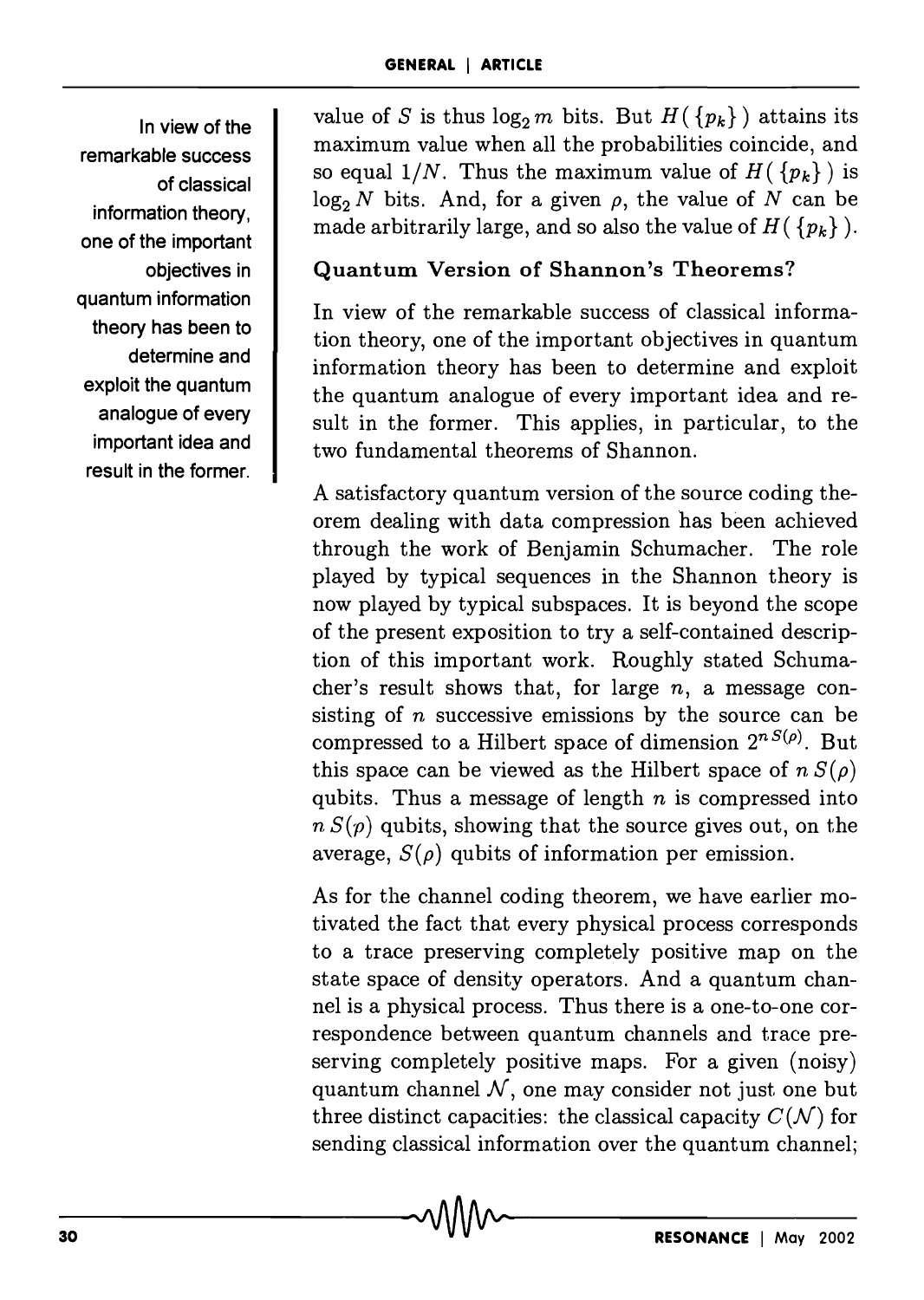In view of the remarkable success of classical information theory, one of the important objectives in quantum information theory has been to determine and exploit the quantum analogue of every important idea and result in the former.

value of *S* is thus  $\log_2 m$  bits. But  $H({p_k})$  attains its maximum value when all the probabilities coincide, and so equal  $1/N$ . Thus the maximum value of  $H({p_k})$  is  $\log_2 N$  bits. And, for a given  $\rho$ , the value of *N* can be made arbitrarily large, and so also the value of  $H(\{p_k\})$ .

#### Quantum Version of Shannon's Theorems?

In view of the remarkable success of classical information theory, one of the important objectives in quantum information theory has been to determine and exploit the quantum analogue of every important idea and result in the former. This applies, in particular, to the two fundamental theorems of Shannon.

A satisfactory quantum version of the source coding theorem dealing with data compression has been achieved through the work of Benjamin Schumacher. The role played by typical sequences in the Shannon theory is now played by typical subspaces. It is beyond the scope of the present exposition to try a self-contained description of this important work. Roughly stated Schumacher's result shows that, for large *n,* a message consisting of *n* successive emissions by the source can be compressed to a Hilbert space of dimension  $2^{nS(\rho)}$ . But this space can be viewed as the Hilbert space of  $n S(\rho)$ qubits. Thus a message of length *n* is compressed into  $n S(p)$  qubits, showing that the source gives out, on the average,  $S(\rho)$  qubits of information per emission.

As for the channel coding theorem, we have earlier motivated the fact that every physical process corresponds to a trace preserving completely positive map on the state space of density operators. And a quantum channel is a physical process. Thus there is a one-to-one correspondence between quantum channels and trace preserving completely positive maps. For a given (noisy) quantum channel *N,* one may consider not just one but three distinct capacities: the classical capacity  $C(\mathcal{N})$  for sending classical information over the quantum channel;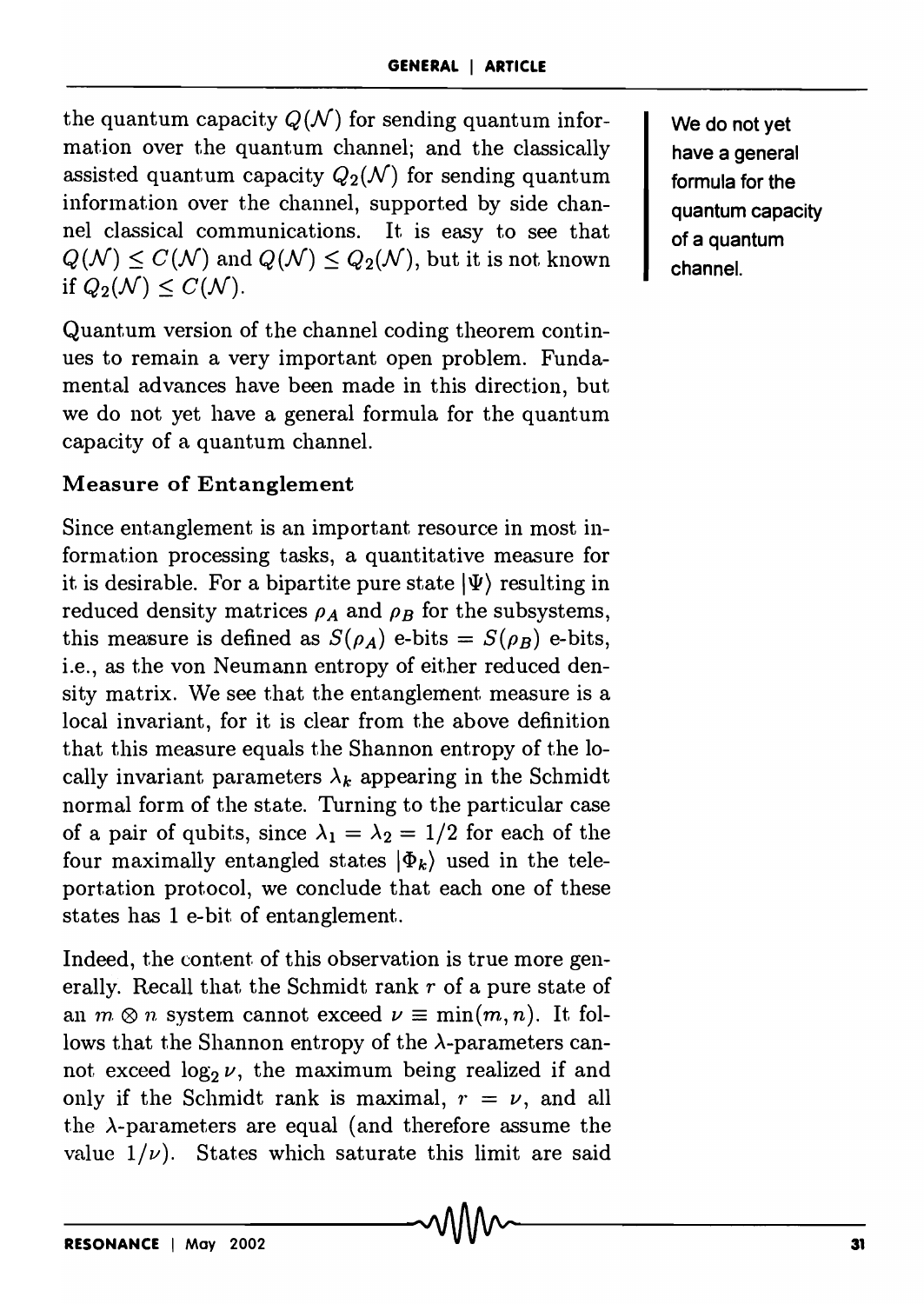the quantum capacity  $Q(N)$  for sending quantum information over the quantum channel; and the classically assisted quantum capacity  $Q_2(\mathcal{N})$  for sending quantum information over the channel, supported by side channel classical communications. It is easy to see that  $Q(\mathcal{N}) \leq C(\mathcal{N})$  and  $Q(\mathcal{N}) \leq Q_2(\mathcal{N})$ , but it is not known if  $Q_2(\mathcal{N}) \leq C(\mathcal{N})$ .

Quantum version of the channel coding theorem continues to remain a very important open problem. Fundamental advances have been made in this direction, but we do not yet have a general formula for the quantum capacity of a quantum channel.

# Measure of Entanglement

Since entanglement is an important resource in most information processing tasks, a quantitative measure for it is desirable. For a bipartite pure state  $|\Psi\rangle$  resulting in reduced density matrices  $\rho_A$  and  $\rho_B$  for the subsystems, this measure is defined as  $S(\rho_A)$  e-bits =  $S(\rho_B)$  e-bits, i.e., as the von Neumann entropy of either reduced density matrix. We see that the entanglement measure is a local invariant, for it is clear from the above definition that this measure equals the Shannon entropy of the locally invariant parameters  $\lambda_k$  appearing in the Schmidt normal form of the state. Turning to the particular case of a pair of qubits, since  $\lambda_1 = \lambda_2 = 1/2$  for each of the four maximally entangled states  $|\Phi_k\rangle$  used in the teleportation protocol, we conclude that each one of these states has 1 e-bit of entanglement.

Indeed, the content of this observation is true more generally. Recall that the Schmidt rank *r* of a pure state of an  $m \otimes n$  system cannot exceed  $\nu \equiv \min(m, n)$ . It follows that the Shannon entropy of the  $\lambda$ -parameters cannot exceed  $\log_2 \nu$ , the maximum being realized if and only if the Schmidt rank is maximal,  $r = \nu$ , and all the  $\lambda$ -parameters are equal (and therefore assume the value  $1/\nu$ ). States which saturate this limit are said We do not yet have a general formula for the quantum capacity of a quantum channel.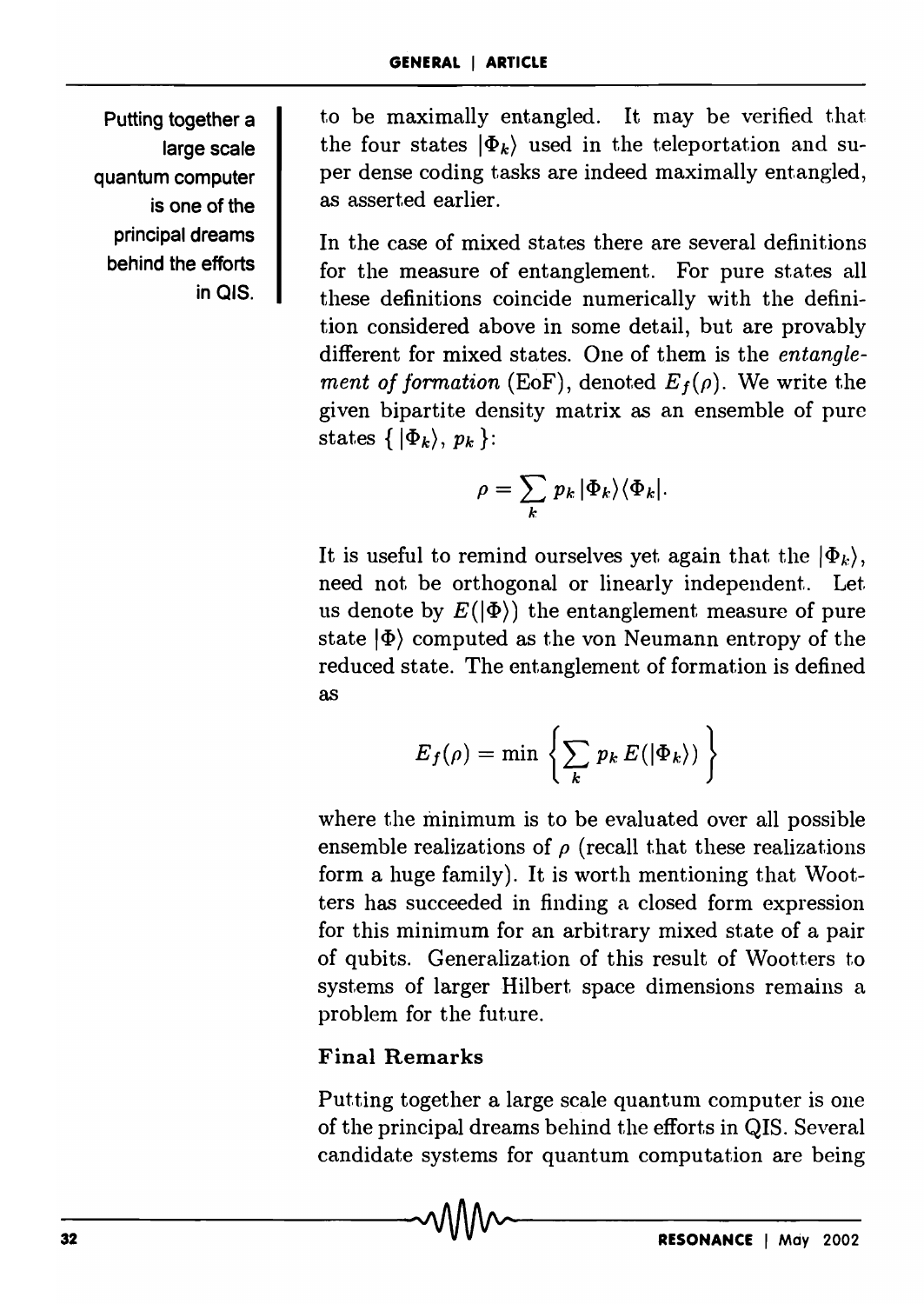Putting together a large scale quantum computer is one of the principal dreams behind the efforts in OIS.

to be maximally entangled. It may be verified that the four states  $|\Phi_k\rangle$  used in the teleportation and super dense coding tasks are indeed maximally entangled, as asserted earlier.

In the case of mixed states there are several definitions for the measure of entanglement. For pure states all these definitions coincide numerically with the definition considered above in some detail, but are provably different for mixed states. One of them is the *entanglement of formation* (EoF), denoted  $E_f(\rho)$ . We write the given bipartite density matrix as an ensemble of pure states  $\{ | \Phi_k \rangle, p_k \}$ :

$$
\rho = \sum_{k} p_k |\Phi_k\rangle\langle \Phi_k|.
$$

It is useful to remind ourselves yet again that the  $|\Phi_k\rangle$ , need not be orthogonal or linearly independent.. Let us denote by  $E(\vert \Phi \rangle)$  the entanglement measure of pure state  $|\Phi\rangle$  computed as the von Neumann entropy of the reduced state. The entanglement of formation is defined as

$$
E_f(\rho) = \min \left\{ \sum_k p_k E(|\Phi_k\rangle) \right\}
$$

where the minimum is to be evaluated over all possible ensemble realizations of  $\rho$  (recall that these realizations form a huge family). It is worth mentioning that Wootters has succeeded in finding a closed form expression for this minimum for an arbitrary mixed state of a pair of qubits. Generalization of this result of Wootters to systems of larger Hilbert space dimensions remains a problem for the future.

# Final Remarks

Putting together a large scale quantum computer is one of the principal dreams behind the efforts in QIS. Several candidate systems for quantum computation are being